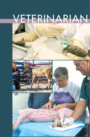# VETERINARIAN